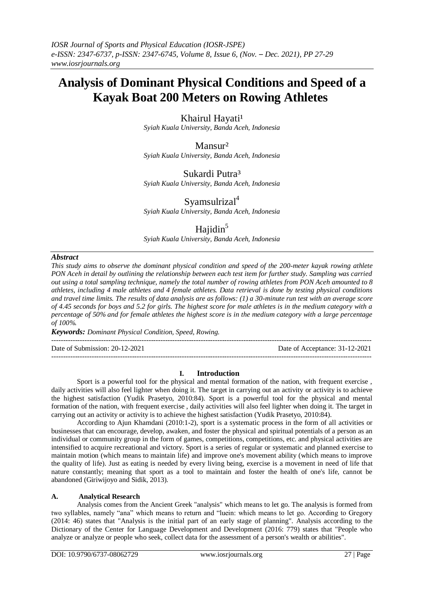# **Analysis of Dominant Physical Conditions and Speed of a Kayak Boat 200 Meters on Rowing Athletes**

Khairul Hayati<sup>1</sup>

*Syiah Kuala University, Banda Aceh, Indonesia*

Mansur² *Syiah Kuala University, Banda Aceh, Indonesia*

### Sukardi Putra<sup>3</sup>

*Syiah Kuala University, Banda Aceh, Indonesia*

Syamsulriza $l^4$ 

*Syiah Kuala University, Banda Aceh, Indonesia*

## Hajidin $5$

*Syiah Kuala University, Banda Aceh, Indonesia*

#### *Abstract*

*This study aims to observe the dominant physical condition and speed of the 200-meter kayak rowing athlete PON Aceh in detail by outlining the relationship between each test item for further study. Sampling was carried out using a total sampling technique, namely the total number of rowing athletes from PON Aceh amounted to 8 athletes, including 4 male athletes and 4 female athletes. Data retrieval is done by testing physical conditions and travel time limits. The results of data analysis are as follows: (1) a 30-minute run test with an average score of 4.45 seconds for boys and 5.2 for girls. The highest score for male athletes is in the medium category with a percentage of 50% and for female athletes the highest score is in the medium category with a large percentage of 100%.*

*Keywords: Dominant Physical Condition, Speed, Rowing.*  --------------------------------------------------------------------------------------------------------------------------------------- Date of Submission: 20-12-2021 Date of Acceptance: 31-12-2021

#### **I. Introduction**

---------------------------------------------------------------------------------------------------------------------------------------

Sport is a powerful tool for the physical and mental formation of the nation, with frequent exercise , daily activities will also feel lighter when doing it. The target in carrying out an activity or activity is to achieve the highest satisfaction (Yudik Prasetyo, 2010:84). Sport is a powerful tool for the physical and mental formation of the nation, with frequent exercise , daily activities will also feel lighter when doing it. The target in carrying out an activity or activity is to achieve the highest satisfaction (Yudik Prasetyo, 2010:84).

According to Ajun Khamdani (2010:1-2), sport is a systematic process in the form of all activities or businesses that can encourage, develop, awaken, and foster the physical and spiritual potentials of a person as an individual or community group in the form of games, competitions, competitions, etc. and physical activities are intensified to acquire recreational and victory. Sport is a series of regular or systematic and planned exercise to maintain motion (which means to maintain life) and improve one's movement ability (which means to improve the quality of life). Just as eating is needed by every living being, exercise is a movement in need of life that nature constantly; meaning that sport as a tool to maintain and foster the health of one's life, cannot be abandoned (Giriwijoyo and Sidik, 2013).

#### **A. Analytical Research**

Analysis comes from the Ancient Greek "analysis" which means to let go. The analysis is formed from two syllables, namely "ana" which means to return and "luein: which means to let go. According to Gregory (2014: 46) states that "Analysis is the initial part of an early stage of planning". Analysis according to the Dictionary of the Center for Language Development and Development (2016: 779) states that "People who analyze or analyze or people who seek, collect data for the assessment of a person's wealth or abilities".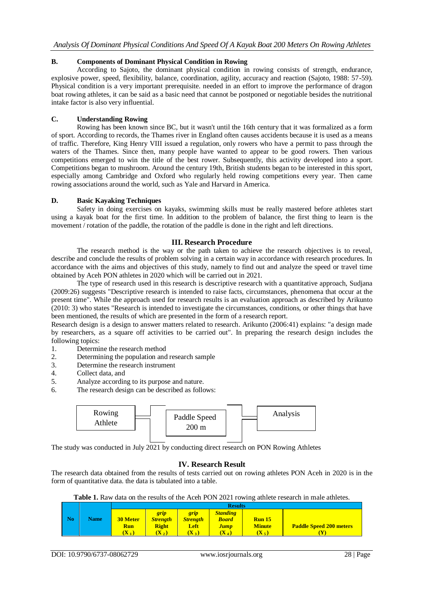#### **B. Components of Dominant Physical Condition in Rowing**

According to Sajoto, the dominant physical condition in rowing consists of strength, endurance, explosive power, speed, flexibility, balance, coordination, agility, accuracy and reaction (Sajoto, 1988: 57-59). Physical condition is a very important prerequisite. needed in an effort to improve the performance of dragon boat rowing athletes, it can be said as a basic need that cannot be postponed or negotiable besides the nutritional intake factor is also very influential.

#### **C. Understanding Rowing**

Rowing has been known since BC, but it wasn't until the 16th century that it was formalized as a form of sport. According to records, the Thames river in England often causes accidents because it is used as a means of traffic. Therefore, King Henry VIII issued a regulation, only rowers who have a permit to pass through the waters of the Thames. Since then, many people have wanted to appear to be good rowers. Then various competitions emerged to win the title of the best rower. Subsequently, this activity developed into a sport. Competitions began to mushroom. Around the century 19th, British students began to be interested in this sport, especially among Cambridge and Oxford who regularly held rowing competitions every year. Then came rowing associations around the world, such as Yale and Harvard in America.

#### **D. Basic Kayaking Techniques**

Safety in doing exercises on kayaks, swimming skills must be really mastered before athletes start using a kayak boat for the first time. In addition to the problem of balance, the first thing to learn is the movement / rotation of the paddle, the rotation of the paddle is done in the right and left directions.

#### **III. Research Procedure**

The research method is the way or the path taken to achieve the research objectives is to reveal, describe and conclude the results of problem solving in a certain way in accordance with research procedures. In accordance with the aims and objectives of this study, namely to find out and analyze the speed or travel time obtained by Aceh PON athletes in 2020 which will be carried out in 2021.

The type of research used in this research is descriptive research with a quantitative approach, Sudjana (2009:26) suggests "Descriptive research is intended to raise facts, circumstances, phenomena that occur at the present time". While the approach used for research results is an evaluation approach as described by Arikunto (2010: 3) who states "Research is intended to investigate the circumstances, conditions, or other things that have been mentioned, the results of which are presented in the form of a research report.

Research design is a design to answer matters related to research. Arikunto (2006:41) explains: "a design made by researchers, as a square off activities to be carried out". In preparing the research design includes the following topics:

- 1. Determine the research method
- 2. Determining the population and research sample
- 3. Determine the research instrument
- 4. Collect data, and
- 5. Analyze according to its purpose and nature.
- 6. The research design can be described as follows:



The study was conducted in July 2021 by conducting direct research on PON Rowing Athletes

#### **IV. Research Result**

The research data obtained from the results of tests carried out on rowing athletes PON Aceh in 2020 is in the form of quantitative data. the data is tabulated into a table.

|  | Table 1. Raw data on the results of the Aceh PON 2021 rowing athlete research in male athletes. |
|--|-------------------------------------------------------------------------------------------------|
|  |                                                                                                 |

|                |             | <b>Results</b>             |                  |                 |                  |               |                                |  |  |  |  |
|----------------|-------------|----------------------------|------------------|-----------------|------------------|---------------|--------------------------------|--|--|--|--|
|                |             |                            | grip             | grip            | <b>Standing</b>  |               |                                |  |  |  |  |
| N <sub>0</sub> | <b>Name</b> | <b>30 Meter</b>            | <b>Strength</b>  | <b>Strength</b> | <b>Board</b>     | <b>Run 15</b> |                                |  |  |  |  |
|                |             | <b>Run</b>                 | Right            | Left            | <b>Jump</b>      | <b>Minute</b> | <b>Paddle Speed 200 meters</b> |  |  |  |  |
|                |             | $(\mathbf{X}_{\text{-}1})$ | $(\mathbf{X}_2)$ | $(X_3)$         | $(\mathbf{X}_4)$ | $(X_5)$       |                                |  |  |  |  |